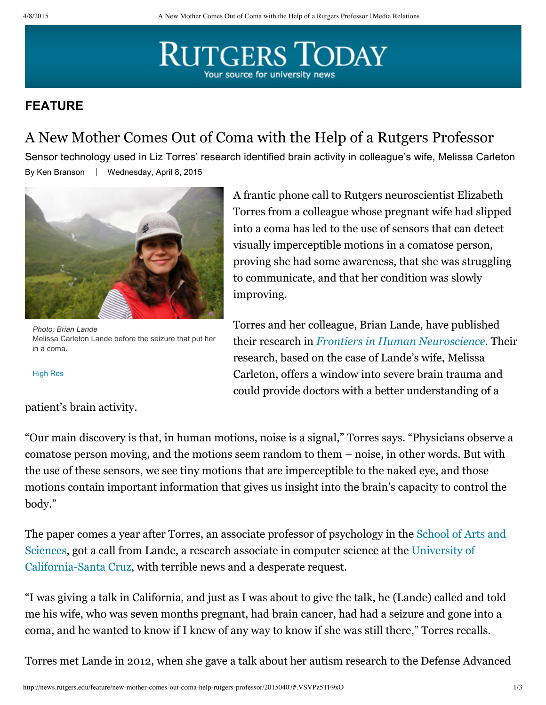## **RUTGERS TODAY** Your source for university news

## **FEATURE**

## A New Mother Comes Out of Coma with the Help of a Rutgers Professor

By Ken Branson | Wednesday, April 8, 2015 Sensor technology used in Liz Torres' research identified brain activity in colleague's wife, Melissa Carleton



*Photo: Brian Lande* Melissa Carleton Lande before the seizure that put her in a coma.

[High](http://news.rutgers.edu/sites/medrel/files/inline-img/highres/Melissa.jpg) Res

patient's brain activity.

A frantic phone call to Rutgers neuroscientist Elizabeth Torres from a colleague whose pregnant wife had slipped into a coma has led to the use of sensors that can detect visually imperceptible motions in a comatose person, proving she had some awareness, that she was struggling to communicate, and that her condition was slowly improving.

Torres and her colleague, Brian Lande, have published their research in *Frontiers in Human [Neuroscience.](http://journal.frontiersin.org/article/10.3389/fnhum.2015.00128/abstract)* Their research, based on the case of Lande's wife, Melissa Carleton, offers a window into severe brain trauma and could provide doctors with a better understanding of a

"Our main discovery is that, in human motions, noise is a signal," Torres says. "Physicians observe a comatose person moving, and the motions seem random to them – noise, in other words. But with the use of these sensors, we see tiny motions that are imperceptible to the naked eye, and those motions contain important information that gives us insight into the brain's capacity to control the body."

The paper comes a year after Torres, an associate professor of [psychology](http://sas.rutgers.edu/) in the School of Arts and Sciences, got a call from Lande, a research associate in computer science at the University of [California-Santa](http://www.ucsc.edu/) Cruz, with terrible news and a desperate request.

"I was giving a talk in California, and just as I was about to give the talk, he (Lande) called and told me his wife, who was seven months pregnant, had brain cancer, had had a seizure and gone into a coma, and he wanted to know if I knew of any way to know if she was still there," Torres recalls.

Torres met Lande in 2012, when she gave a talk about her autism research to the Defense Advanced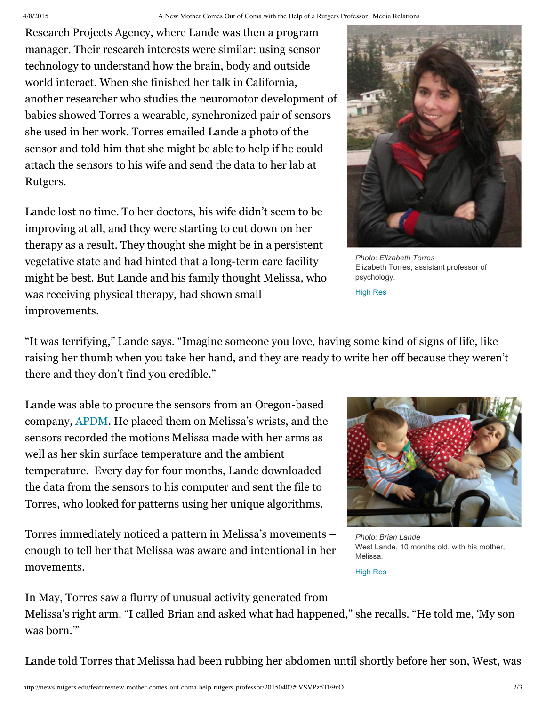Research Projects Agency, where Lande was then a program manager. Their research interests were similar: using sensor technology to understand how the brain, body and outside world interact. When she finished her talk in California, another researcher who studies the neuromotor development of babies showed Torres a wearable, synchronized pair of sensors she used in her work. Torres emailed Lande a photo of the sensor and told him that she might be able to help if he could attach the sensors to his wife and send the data to her lab at Rutgers.

Lande lost no time. To her doctors, his wife didn't seem to be improving at all, and they were starting to cut down on her therapy as a result. They thought she might be in a persistent vegetative state and had hinted that a long-term care facility might be best. But Lande and his family thought Melissa, who was receiving physical therapy, had shown small improvements.



*Photo: Elizabeth Torres* Elizabeth Torres, assistant professor of psychology.

[High](http://news.rutgers.edu/sites/medrel/files/inline-img/highres/torres_2013.jpg) Res

"It was terrifying," Lande says. "Imagine someone you love, having some kind of signs of life, like raising her thumb when you take her hand, and they are ready to write her off because they weren't there and they don't find you credible."

Lande was able to procure the sensors from an Oregon-based company, [APDM.](http://apdm.com/) He placed them on Melissa's wrists, and the sensors recorded the motions Melissa made with her arms as well as her skin surface temperature and the ambient temperature. Every day for four months, Lande downloaded the data from the sensors to his computer and sent the file to Torres, who looked for patterns using her unique algorithms.

Torres immediately noticed a pattern in Melissa's movements – enough to tell her that Melissa was aware and intentional in her movements.



*Photo: Brian Lande* West Lande, 10 months old, with his mother, Melissa.

[High](http://news.rutgers.edu/sites/medrel/files/inline-img/highres/Melissa%20and%20West%203.jpg) Res

In May, Torres saw a flurry of unusual activity generated from

Melissa's right arm. "I called Brian and asked what had happened," she recalls. "He told me, 'My son was born.'"

Lande told Torres that Melissa had been rubbing her abdomen until shortly before her son, West, was